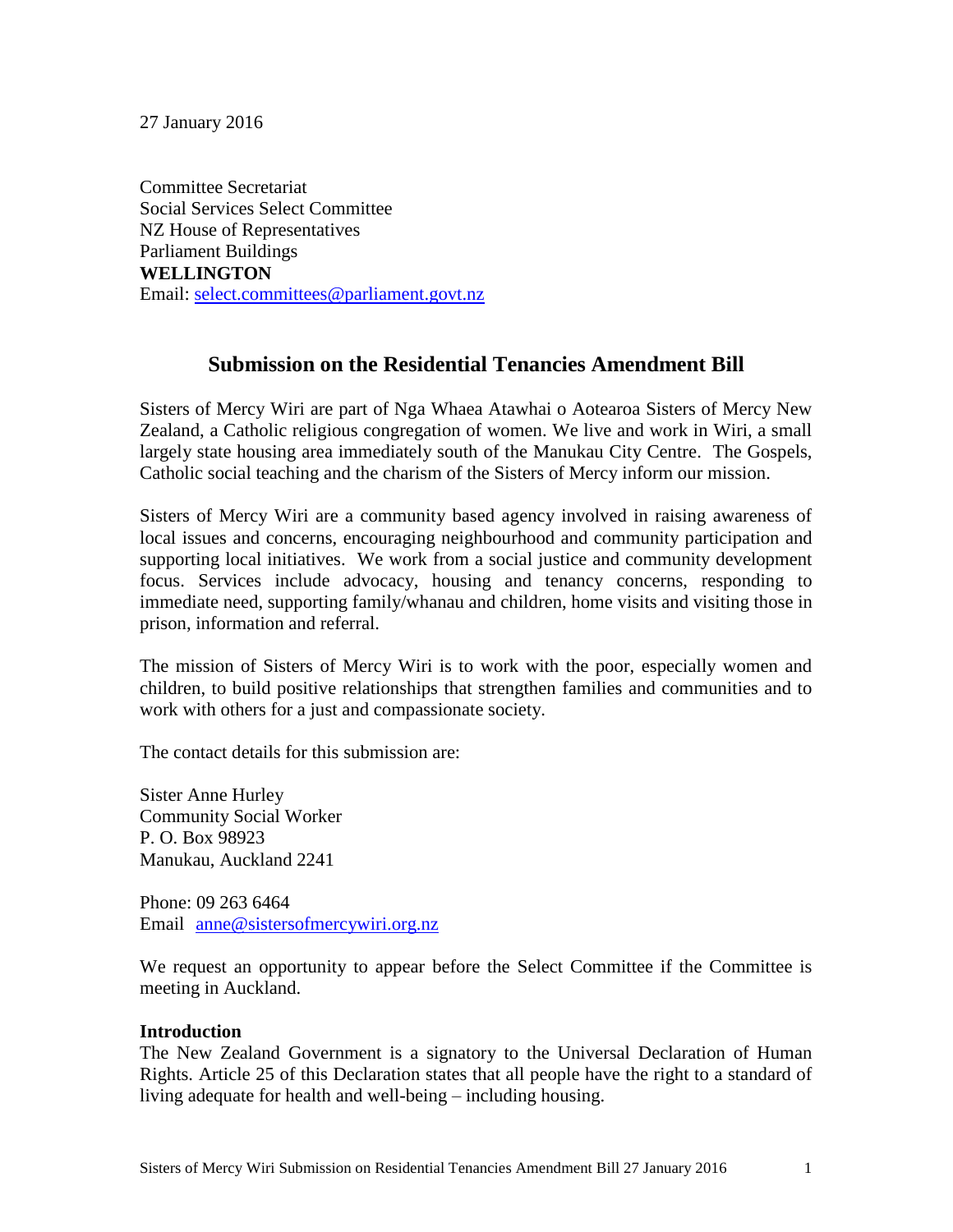27 January 2016

Committee Secretariat Social Services Select Committee NZ House of Representatives Parliament Buildings **WELLINGTON** Email: [select.committees@parliament.govt.nz](mailto:select.committees@parliament.govt.nz)

# **Submission on the Residential Tenancies Amendment Bill**

Sisters of Mercy Wiri are part of Nga Whaea Atawhai o Aotearoa Sisters of Mercy New Zealand, a Catholic religious congregation of women. We live and work in Wiri, a small largely state housing area immediately south of the Manukau City Centre. The Gospels, Catholic social teaching and the charism of the Sisters of Mercy inform our mission.

Sisters of Mercy Wiri are a community based agency involved in raising awareness of local issues and concerns, encouraging neighbourhood and community participation and supporting local initiatives. We work from a social justice and community development focus. Services include advocacy, housing and tenancy concerns, responding to immediate need, supporting family/whanau and children, home visits and visiting those in prison, information and referral.

The mission of Sisters of Mercy Wiri is to work with the poor, especially women and children, to build positive relationships that strengthen families and communities and to work with others for a just and compassionate society.

The contact details for this submission are:

Sister Anne Hurley Community Social Worker P. O. Box 98923 Manukau, Auckland 2241

Phone: 09 263 6464 Email [anne@sistersofmercywiri.org.nz](mailto:anne@sistersofmercywiri.org.nz)

We request an opportunity to appear before the Select Committee if the Committee is meeting in Auckland.

#### **Introduction**

The New Zealand Government is a signatory to the Universal Declaration of Human Rights. Article 25 of this Declaration states that all people have the right to a standard of living adequate for health and well-being – including housing.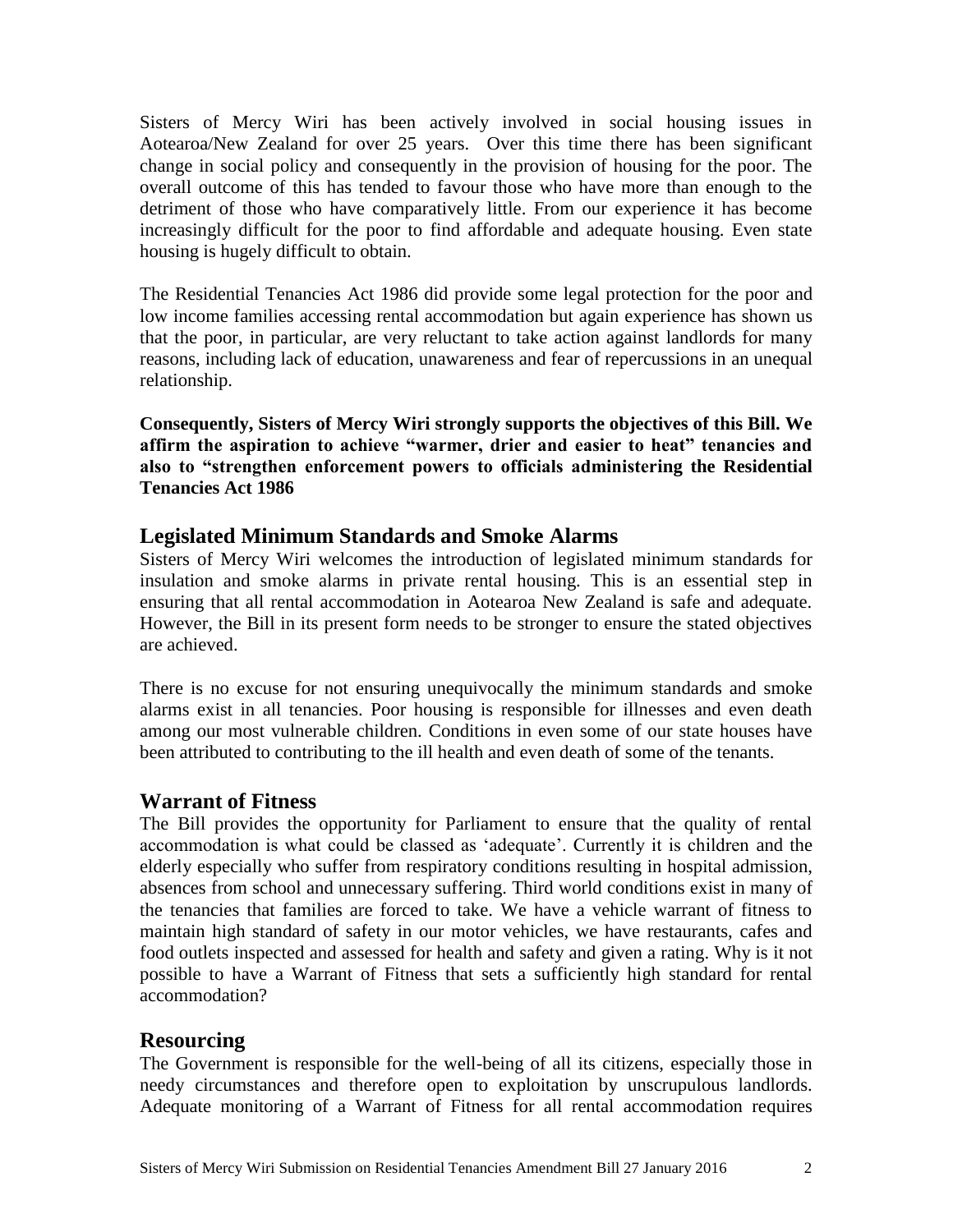Sisters of Mercy Wiri has been actively involved in social housing issues in Aotearoa/New Zealand for over 25 years. Over this time there has been significant change in social policy and consequently in the provision of housing for the poor. The overall outcome of this has tended to favour those who have more than enough to the detriment of those who have comparatively little. From our experience it has become increasingly difficult for the poor to find affordable and adequate housing. Even state housing is hugely difficult to obtain.

The Residential Tenancies Act 1986 did provide some legal protection for the poor and low income families accessing rental accommodation but again experience has shown us that the poor, in particular, are very reluctant to take action against landlords for many reasons, including lack of education, unawareness and fear of repercussions in an unequal relationship.

**Consequently, Sisters of Mercy Wiri strongly supports the objectives of this Bill. We affirm the aspiration to achieve "warmer, drier and easier to heat" tenancies and also to "strengthen enforcement powers to officials administering the Residential Tenancies Act 1986**

## **Legislated Minimum Standards and Smoke Alarms**

Sisters of Mercy Wiri welcomes the introduction of legislated minimum standards for insulation and smoke alarms in private rental housing. This is an essential step in ensuring that all rental accommodation in Aotearoa New Zealand is safe and adequate. However, the Bill in its present form needs to be stronger to ensure the stated objectives are achieved.

There is no excuse for not ensuring unequivocally the minimum standards and smoke alarms exist in all tenancies. Poor housing is responsible for illnesses and even death among our most vulnerable children. Conditions in even some of our state houses have been attributed to contributing to the ill health and even death of some of the tenants.

### **Warrant of Fitness**

The Bill provides the opportunity for Parliament to ensure that the quality of rental accommodation is what could be classed as 'adequate'. Currently it is children and the elderly especially who suffer from respiratory conditions resulting in hospital admission, absences from school and unnecessary suffering. Third world conditions exist in many of the tenancies that families are forced to take. We have a vehicle warrant of fitness to maintain high standard of safety in our motor vehicles, we have restaurants, cafes and food outlets inspected and assessed for health and safety and given a rating. Why is it not possible to have a Warrant of Fitness that sets a sufficiently high standard for rental accommodation?

### **Resourcing**

The Government is responsible for the well-being of all its citizens, especially those in needy circumstances and therefore open to exploitation by unscrupulous landlords. Adequate monitoring of a Warrant of Fitness for all rental accommodation requires